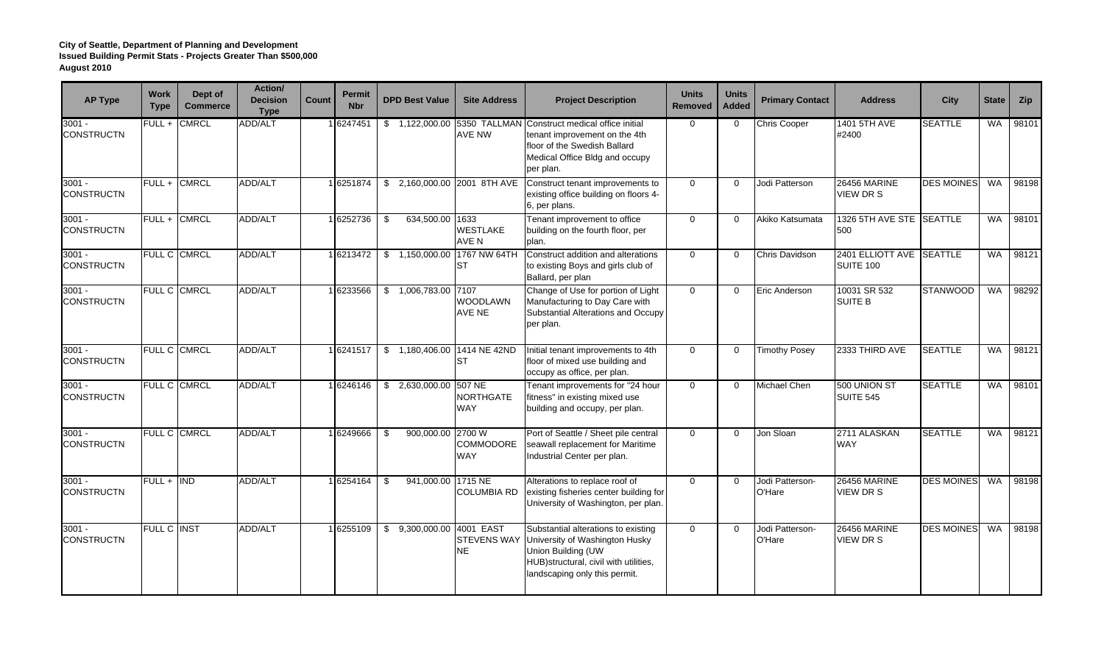| <b>AP Type</b>                | <b>Work</b><br><b>Type</b> | Dept of<br><b>Commerce</b> | Action/<br><b>Decision</b><br><b>Type</b> | Count | <b>Permit</b><br><b>Nbr</b> | <b>DPD Best Value</b>     | <b>Site Address</b>                      | <b>Project Description</b>                                                                                                                                                   | <b>Units</b><br><b>Removed</b> | <b>Units</b><br><b>Added</b> | <b>Primary Contact</b>    | <b>Address</b>                          | <b>City</b>       | <b>State</b> | Zip   |
|-------------------------------|----------------------------|----------------------------|-------------------------------------------|-------|-----------------------------|---------------------------|------------------------------------------|------------------------------------------------------------------------------------------------------------------------------------------------------------------------------|--------------------------------|------------------------------|---------------------------|-----------------------------------------|-------------------|--------------|-------|
| $3001 -$<br><b>CONSTRUCTN</b> |                            | FULL + CMRCL               | ADD/ALT                                   |       | 16247451                    |                           | <b>AVE NW</b>                            | \$1,122,000.00 5350 TALLMAN Construct medical office initial<br>tenant improvement on the 4th<br>floor of the Swedish Ballard<br>Medical Office Bldg and occupy<br>per plan. | $\Omega$                       | $\Omega$                     | Chris Cooper              | 1401 5TH AVE<br>#2400                   | <b>SEATTLE</b>    | WA.          | 98101 |
| $3001 -$<br><b>CONSTRUCTN</b> |                            | FULL + CMRCL               | ADD/ALT                                   |       | 1 6251874                   | \$                        |                                          | 2,160,000.00 2001 8TH AVE Construct tenant improvements to<br>existing office building on floors 4-<br>6, per plans.                                                         | $\mathbf{0}$                   | $\Omega$                     | Jodi Patterson            | <b>26456 MARINE</b><br><b>VIEW DR S</b> | <b>DES MOINES</b> | WA           | 98198 |
| $3001 -$<br><b>CONSTRUCTN</b> |                            | FULL + CMRCL               | ADD/ALT                                   |       | 1 6252736                   | \$<br>634,500.00 1633     | <b>WESTLAKE</b><br>AVE N                 | Tenant improvement to office<br>building on the fourth floor, per<br>plan.                                                                                                   | $\mathbf 0$                    | $\Omega$                     | Akiko Katsumata           | 1326 5TH AVE STE SEATTLE<br>500         |                   | <b>WA</b>    | 98101 |
| $3001 -$<br><b>CONSTRUCTN</b> |                            | <b>FULL C CMRCL</b>        | <b>ADD/ALT</b>                            |       | 16213472                    | \$1,150,000.00            | 1767 NW 64TH<br>ST                       | Construct addition and alterations<br>to existing Boys and girls club of<br>Ballard, per plan                                                                                | $\mathbf 0$                    | $\Omega$                     | Chris Davidson            | 2401 ELLIOTT AVE SEATTLE<br>SUITE 100   |                   | <b>WA</b>    | 98121 |
| $3001 -$<br><b>CONSTRUCTN</b> |                            | FULL C CMRCL               | ADD/ALT                                   |       | 1 6233566                   | \$1,006,783.00            | 7107<br>WOODLAWN<br>AVE NE               | Change of Use for portion of Light<br>Manufacturing to Day Care with<br>Substantial Alterations and Occupy<br>per plan.                                                      | $\mathbf{0}$                   | $\Omega$                     | Eric Anderson             | 10031 SR 532<br><b>SUITE B</b>          | <b>STANWOOD</b>   | <b>WA</b>    | 98292 |
| $3001 -$<br><b>CONSTRUCTN</b> |                            | FULL C CMRCL               | ADD/ALT                                   |       | 16241517                    |                           | \$1,180,406.00 1414 NE 42ND<br>ST        | Initial tenant improvements to 4th<br>floor of mixed use building and<br>occupy as office, per plan.                                                                         | $\Omega$                       | $\Omega$                     | <b>Timothy Posey</b>      | 2333 THIRD AVE                          | <b>SEATTLE</b>    | <b>WA</b>    | 98121 |
| $3001 -$<br><b>CONSTRUCTN</b> |                            | FULL C CMRCL               | <b>ADD/ALT</b>                            |       | 16246146                    | \$2,630,000.00            | 507 NE<br><b>NORTHGATE</b><br><b>WAY</b> | Tenant improvements for "24 hour<br>fitness" in existing mixed use<br>building and occupy, per plan.                                                                         | $\mathbf 0$                    | $\Omega$                     | Michael Chen              | 500 UNION ST<br><b>SUITE 545</b>        | <b>SEATTLE</b>    | <b>WA</b>    | 98101 |
| $3001 -$<br><b>CONSTRUCTN</b> |                            | FULL C CMRCL               | ADD/ALT                                   |       | 16249666                    | \$<br>900,000.00 2700 W   | <b>COMMODORE</b><br><b>WAY</b>           | Port of Seattle / Sheet pile central<br>seawall replacement for Maritime<br>Industrial Center per plan.                                                                      | $\mathbf 0$                    | $\Omega$                     | Jon Sloan                 | 2711 ALASKAN<br><b>WAY</b>              | <b>SEATTLE</b>    | <b>WA</b>    | 98121 |
| $3001 -$<br><b>CONSTRUCTN</b> | FULL + IND                 |                            | <b>ADD/ALT</b>                            |       | 16254164                    | \$<br>941,000.00 1715 NE  | <b>COLUMBIA RD</b>                       | Alterations to replace roof of<br>existing fisheries center building for<br>University of Washington, per plan.                                                              | $\mathbf 0$                    | $\Omega$                     | Jodi Patterson-<br>O'Hare | <b>26456 MARINE</b><br><b>VIEW DR S</b> | <b>DES MOINES</b> | WA           | 98198 |
| $3001 -$<br><b>CONSTRUCTN</b> | <b>FULL C INST</b>         |                            | ADD/ALT                                   |       | 16255109                    | \$ 9,300,000.00 4001 EAST | <b>STEVENS WAY</b><br><b>NE</b>          | Substantial alterations to existing<br>University of Washington Husky<br>Union Building (UW<br>HUB) structural, civil with utilities,<br>landscaping only this permit.       | $\mathbf 0$                    | $\Omega$                     | Jodi Patterson-<br>O'Hare | 26456 MARINE<br><b>VIEW DR S</b>        | <b>DES MOINES</b> | <b>WA</b>    | 98198 |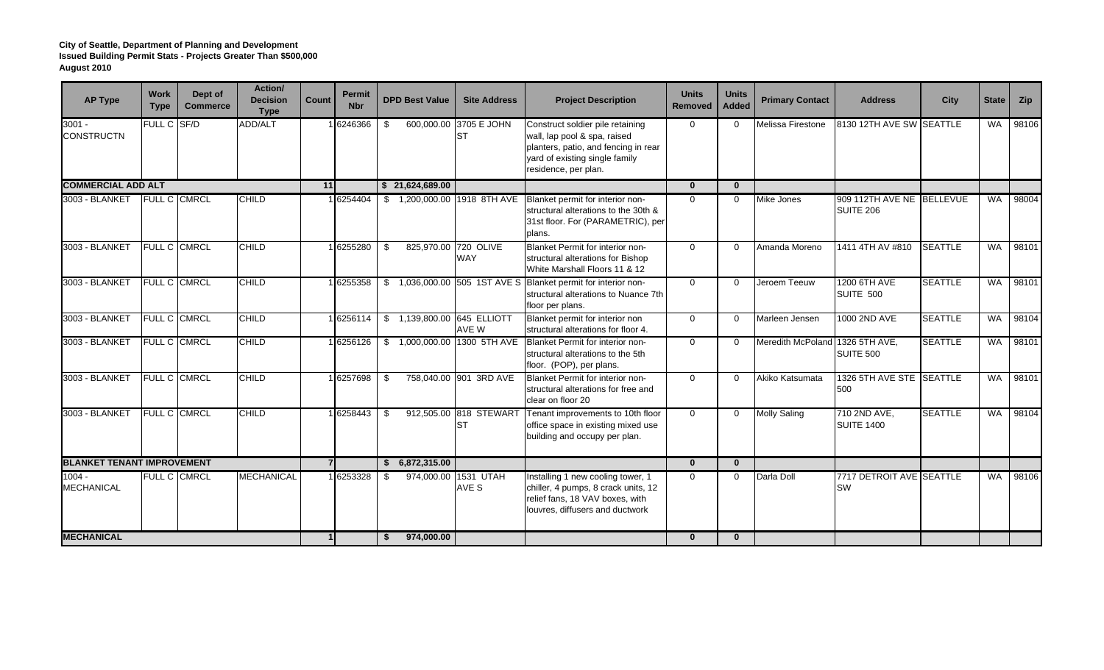| <b>AP Type</b>                    | <b>Work</b><br><b>Type</b> | Dept of<br><b>Commerce</b> | <b>Action/</b><br><b>Decision</b><br><b>Type</b> | Count | <b>Permit</b><br><b>Nbr</b> | <b>DPD Best Value</b>        | <b>Site Address</b>                 | <b>Project Description</b>                                                                                                                                         | <b>Units</b><br>Removed | <b>Units</b><br><b>Added</b> | <b>Primary Contact</b>          | <b>Address</b>                         | <b>City</b>    | <b>State</b> | Zip   |
|-----------------------------------|----------------------------|----------------------------|--------------------------------------------------|-------|-----------------------------|------------------------------|-------------------------------------|--------------------------------------------------------------------------------------------------------------------------------------------------------------------|-------------------------|------------------------------|---------------------------------|----------------------------------------|----------------|--------------|-------|
| $3001 -$<br><b>CONSTRUCTN</b>     | FULL C SF/D                |                            | ADD/ALT                                          |       | 16246366                    | \$                           | 600,000.00 3705 E JOHN<br>ST        | Construct soldier pile retaining<br>wall, lap pool & spa, raised<br>planters, patio, and fencing in rear<br>yard of existing single family<br>residence, per plan. | $\Omega$                | $\Omega$                     | Melissa Firestone               | 8130 12TH AVE SW SEATTLE               |                | <b>WA</b>    | 98106 |
| <b>COMMERCIAL ADD ALT</b>         |                            |                            |                                                  | 11    |                             | \$21,624,689.00              |                                     |                                                                                                                                                                    | $\mathbf{0}$            | $\mathbf{0}$                 |                                 |                                        |                |              |       |
| 3003 - BLANKET                    | <b>FULL C CMRCL</b>        |                            | <b>CHILD</b>                                     |       | 1 6254404                   | \$ 1,200,000.00 1918 8TH AVE |                                     | Blanket permit for interior non-<br>structural alterations to the 30th &<br>31st floor. For (PARAMETRIC), per<br>plans.                                            | $\Omega$                | $\Omega$                     | <b>Mike Jones</b>               | 909 112TH AVE NE BELLEVUE<br>SUITE 206 |                | WA.          | 98004 |
| 3003 - BLANKET                    | <b>FULL C CMRCL</b>        |                            | <b>CHILD</b>                                     |       | 1 6255280                   | \$                           | 825,970.00 720 OLIVE<br><b>WAY</b>  | Blanket Permit for interior non-<br>structural alterations for Bishop<br>White Marshall Floors 11 & 12                                                             | $\Omega$                | $\Omega$                     | Amanda Moreno                   | 1411 4TH AV #810                       | <b>SEATTLE</b> | <b>WA</b>    | 98101 |
| 3003 - BLANKET                    |                            | FULL C CMRCL               | <b>CHILD</b>                                     |       | 16255358                    |                              |                                     | \$1,036,000.00 505 1ST AVE S Blanket permit for interior non-<br>structural alterations to Nuance 7th<br>floor per plans.                                          | $\Omega$                | $\Omega$                     | Jeroem Teeuw                    | 1200 6TH AVE<br>SUITE 500              | <b>SEATTLE</b> | <b>WA</b>    | 98101 |
| 3003 - BLANKET                    | FULL C CMRCL               |                            | <b>CHILD</b>                                     |       | 16256114                    | \$ 1,139,800.00 645 ELLIOTT  | AVE W                               | Blanket permit for interior non<br>structural alterations for floor 4.                                                                                             | $\Omega$                | $\Omega$                     | Marleen Jensen                  | 1000 2ND AVE                           | <b>SEATTLE</b> | <b>WA</b>    | 98104 |
| 3003 - BLANKET                    | FULL C CMRCL               |                            | <b>CHILD</b>                                     |       | 1 6256126                   |                              | \$ 1,000,000.00 1300 5TH AVE        | Blanket Permit for interior non-<br>structural alterations to the 5th<br>floor. (POP), per plans.                                                                  | $\Omega$                | $\Omega$                     | Meredith McPoland 1326 5TH AVE, | SUITE 500                              | <b>SEATTLE</b> | <b>WA</b>    | 98101 |
| 3003 - BLANKET                    | <b>FULL C CMRCL</b>        |                            | <b>CHILD</b>                                     |       | 16257698                    | $\mathfrak{L}$               | 758,040.00 901 3RD AVE              | Blanket Permit for interior non-<br>structural alterations for free and<br>clear on floor 20                                                                       | $\Omega$                | $\Omega$                     | Akiko Katsumata                 | 1326 5TH AVE STE SEATTLE<br>500        |                | <b>WA</b>    | 98101 |
| 3003 - BLANKET                    |                            | FULL C CMRCL               | <b>CHILD</b>                                     |       | 1 6258443                   | \$                           | 912,505.00 818 STEWART<br><b>ST</b> | Tenant improvements to 10th floor<br>office space in existing mixed use<br>building and occupy per plan.                                                           | $\Omega$                | $\Omega$                     | Molly Saling                    | 710 2ND AVE,<br><b>SUITE 1400</b>      | <b>SEATTLE</b> | <b>WA</b>    | 98104 |
| <b>BLANKET TENANT IMPROVEMENT</b> |                            |                            |                                                  |       | <b>71</b>                   | \$6,872,315.00               |                                     |                                                                                                                                                                    | $\mathbf{0}$            | $\bf{0}$                     |                                 |                                        |                |              |       |
| $1004 -$<br><b>MECHANICAL</b>     |                            | <b>FULL C CMRCL</b>        | <b>MECHANICAL</b>                                |       | 16253328                    | 974,000.00<br>\$             | <b>1531 UTAH</b><br>AVE S           | Installing 1 new cooling tower, 1<br>chiller, 4 pumps, 8 crack units, 12<br>relief fans, 18 VAV boxes, with<br>louvres, diffusers and ductwork                     | $\Omega$                | $\mathbf 0$                  | Darla Doll                      | 7717 DETROIT AVE SEATTLE<br><b>SW</b>  |                | <b>WA</b>    | 98106 |
| <b>MECHANICAL</b>                 |                            |                            |                                                  |       |                             | 974,000.00                   |                                     |                                                                                                                                                                    | $\mathbf{0}$            | $\bf{0}$                     |                                 |                                        |                |              |       |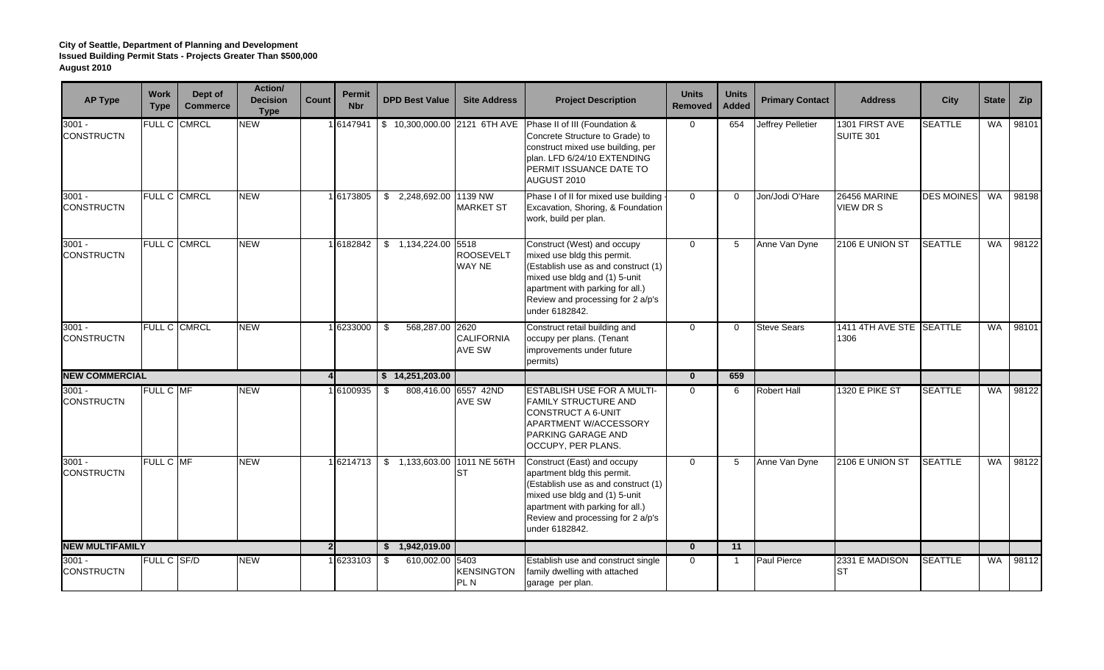| <b>AP Type</b>                | Work<br><b>Type</b> | Dept of<br><b>Commerce</b> | Action/<br><b>Decision</b><br><b>Type</b> | Count          | <b>Permit</b><br><b>Nbr</b> | <b>DPD Best Value</b>   | <b>Site Address</b>                      | <b>Project Description</b>                                                                                                                                                                                                    | <b>Units</b><br><b>Removed</b> | <b>Units</b><br><b>Added</b> | <b>Primary Contact</b>   | <b>Address</b>                   | <b>City</b>       | <b>State</b> | <b>Zip</b> |
|-------------------------------|---------------------|----------------------------|-------------------------------------------|----------------|-----------------------------|-------------------------|------------------------------------------|-------------------------------------------------------------------------------------------------------------------------------------------------------------------------------------------------------------------------------|--------------------------------|------------------------------|--------------------------|----------------------------------|-------------------|--------------|------------|
| $3001 -$<br><b>CONSTRUCTN</b> |                     | FULL C CMRCL               | <b>NEW</b>                                |                | 1 6147941                   |                         | \$10,300,000.00 2121 6TH AVE             | Phase II of III (Foundation &<br>Concrete Structure to Grade) to<br>construct mixed use building, per<br>plan. LFD 6/24/10 EXTENDING<br>PERMIT ISSUANCE DATE TO<br>AUGUST 2010                                                | $\mathbf 0$                    | 654                          | <b>Jeffrey Pelletier</b> | 1301 FIRST AVE<br>SUITE 301      | <b>SEATTLE</b>    | <b>WA</b>    | 98101      |
| $3001 -$<br><b>CONSTRUCTN</b> |                     | FULL C CMRCL               | <b>NEW</b>                                |                | 1 6173805                   | \$ 2,248,692.00 1139 NW | <b>MARKET ST</b>                         | Phase I of II for mixed use building<br>Excavation, Shoring, & Foundation<br>work, build per plan.                                                                                                                            | $\Omega$                       | $\Omega$                     | Jon/Jodi O'Hare          | 26456 MARINE<br><b>VIEW DR S</b> | <b>DES MOINES</b> | <b>WA</b>    | 98198      |
| $3001 -$<br><b>CONSTRUCTN</b> |                     | FULL C CMRCL               | <b>NEW</b>                                |                | 16182842                    | $$1,134,224.00$ 5518    | <b>ROOSEVELT</b><br><b>WAY NE</b>        | Construct (West) and occupy<br>mixed use bldg this permit.<br>(Establish use as and construct (1)<br>mixed use bldg and (1) 5-unit<br>apartment with parking for all.)<br>Review and processing for 2 a/p's<br>under 6182842. | $\Omega$                       | 5                            | Anne Van Dyne            | 2106 E UNION ST                  | <b>SEATTLE</b>    | <b>WA</b>    | 98122      |
| $3001 -$<br><b>CONSTRUCTN</b> |                     | FULL C CMRCL               | <b>NEW</b>                                |                | 1 6233000                   | \$<br>568,287.00 2620   | <b>CALIFORNIA</b><br><b>AVE SW</b>       | Construct retail building and<br>occupy per plans. (Tenant<br>improvements under future<br>permits)                                                                                                                           | $\Omega$                       | $\mathbf 0$                  | <b>Steve Sears</b>       | 1411 4TH AVE STE SEATTLE<br>1306 |                   | <b>WA</b>    | 98101      |
| <b>NEW COMMERCIAL</b>         |                     |                            |                                           | $\overline{4}$ |                             | \$14,251,203.00         |                                          |                                                                                                                                                                                                                               | $\mathbf{0}$                   | 659                          |                          |                                  |                   |              |            |
| $3001 -$<br><b>CONSTRUCTN</b> | FULL C MF           |                            | <b>NEW</b>                                |                | 16100935                    | \$                      | 808,416.00 6557 42ND<br>AVE SW           | <b>ESTABLISH USE FOR A MULTI-</b><br><b>FAMILY STRUCTURE AND</b><br><b>CONSTRUCT A 6-UNIT</b><br>APARTMENT W/ACCESSORY<br>PARKING GARAGE AND<br>OCCUPY, PER PLANS.                                                            | $\Omega$                       | 6                            | <b>Robert Hall</b>       | <b>1320 E PIKE ST</b>            | <b>SEATTLE</b>    | <b>WA</b>    | 98122      |
| $3001 -$<br><b>CONSTRUCTN</b> | FULL C MF           |                            | <b>NEW</b>                                |                | 1 6214713                   |                         | \$1,133,603.00 1011 NE 56TH<br><b>ST</b> | Construct (East) and occupy<br>apartment bldg this permit.<br>(Establish use as and construct (1)<br>mixed use bldg and (1) 5-unit<br>apartment with parking for all.)<br>Review and processing for 2 a/p's<br>under 6182842. | $\Omega$                       | 5                            | Anne Van Dyne            | 2106 E UNION ST                  | <b>SEATTLE</b>    | <b>WA</b>    | 98122      |
| <b>NEW MULTIFAMILY</b>        |                     |                            |                                           | 2              |                             | \$1,942,019.00          |                                          |                                                                                                                                                                                                                               | $\mathbf{0}$                   | 11                           |                          |                                  |                   |              |            |
| 3001 -<br><b>CONSTRUCTN</b>   | <b>FULL C SF/D</b>  |                            | <b>NEW</b>                                |                | 1 6233103                   | \$<br>610,002.00 5403   | <b>KENSINGTON</b><br>PL N                | Establish use and construct single<br>family dwelling with attached<br>garage per plan.                                                                                                                                       | $\Omega$                       | -1                           | <b>Paul Pierce</b>       | 2331 E MADISON<br>IST            | <b>SEATTLE</b>    | <b>WA</b>    | 98112      |